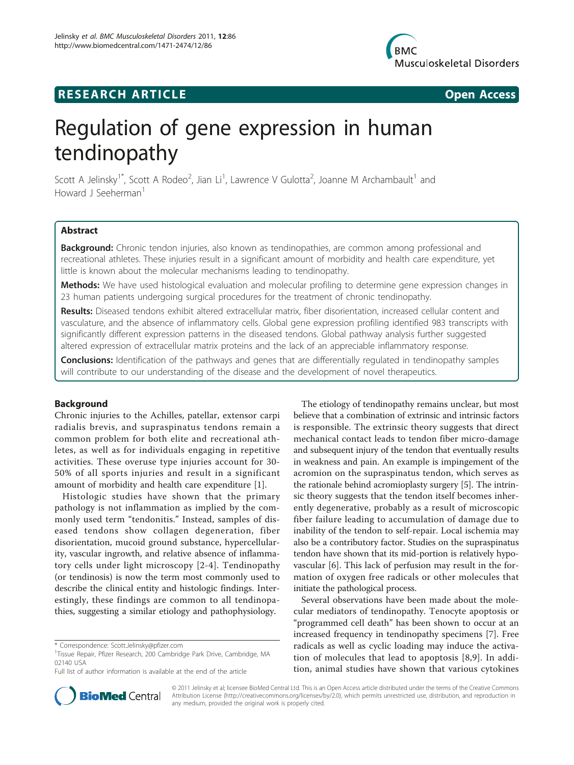

# **RESEARCH ARTICLE Example 2018 12:30 THE Open Access**

# Regulation of gene expression in human tendinopathy

Scott A Jelinsky<sup>1\*</sup>, Scott A Rodeo<sup>2</sup>, Jian Li<sup>1</sup>, Lawrence V Gulotta<sup>2</sup>, Joanne M Archambault<sup>1</sup> and Howard J Seeherman<sup>1</sup>

# Abstract

Background: Chronic tendon injuries, also known as tendinopathies, are common among professional and recreational athletes. These injuries result in a significant amount of morbidity and health care expenditure, yet little is known about the molecular mechanisms leading to tendinopathy.

Methods: We have used histological evaluation and molecular profiling to determine gene expression changes in 23 human patients undergoing surgical procedures for the treatment of chronic tendinopathy.

Results: Diseased tendons exhibit altered extracellular matrix, fiber disorientation, increased cellular content and vasculature, and the absence of inflammatory cells. Global gene expression profiling identified 983 transcripts with significantly different expression patterns in the diseased tendons. Global pathway analysis further suggested altered expression of extracellular matrix proteins and the lack of an appreciable inflammatory response.

**Conclusions:** Identification of the pathways and genes that are differentially regulated in tendinopathy samples will contribute to our understanding of the disease and the development of novel therapeutics.

# Background

Chronic injuries to the Achilles, patellar, extensor carpi radialis brevis, and supraspinatus tendons remain a common problem for both elite and recreational athletes, as well as for individuals engaging in repetitive activities. These overuse type injuries account for 30- 50% of all sports injuries and result in a significant amount of morbidity and health care expenditure [[1\]](#page-10-0).

Histologic studies have shown that the primary pathology is not inflammation as implied by the commonly used term "tendonitis." Instead, samples of diseased tendons show collagen degeneration, fiber disorientation, mucoid ground substance, hypercellularity, vascular ingrowth, and relative absence of inflammatory cells under light microscopy [[2-4\]](#page-10-0). Tendinopathy (or tendinosis) is now the term most commonly used to describe the clinical entity and histologic findings. Interestingly, these findings are common to all tendinopathies, suggesting a similar etiology and pathophysiology.

The etiology of tendinopathy remains unclear, but most believe that a combination of extrinsic and intrinsic factors is responsible. The extrinsic theory suggests that direct mechanical contact leads to tendon fiber micro-damage and subsequent injury of the tendon that eventually results in weakness and pain. An example is impingement of the acromion on the supraspinatus tendon, which serves as the rationale behind acromioplasty surgery [\[5](#page-10-0)]. The intrinsic theory suggests that the tendon itself becomes inherently degenerative, probably as a result of microscopic fiber failure leading to accumulation of damage due to inability of the tendon to self-repair. Local ischemia may also be a contributory factor. Studies on the supraspinatus tendon have shown that its mid-portion is relatively hypovascular [\[6\]](#page-10-0). This lack of perfusion may result in the formation of oxygen free radicals or other molecules that initiate the pathological process.

Several observations have been made about the molecular mediators of tendinopathy. Tenocyte apoptosis or "programmed cell death" has been shown to occur at an increased frequency in tendinopathy specimens [\[7](#page-10-0)]. Free radicals as well as cyclic loading may induce the activation of molecules that lead to apoptosis [[8,9](#page-10-0)]. In addition, animal studies have shown that various cytokines



© 2011 Jelinsky et al; licensee BioMed Central Ltd. This is an Open Access article distributed under the terms of the Creative Commons Attribution License [\(http://creativecommons.org/licenses/by/2.0](http://creativecommons.org/licenses/by/2.0)), which permits unrestricted use, distribution, and reproduction in any medium, provided the original work is properly cited.

<sup>\*</sup> Correspondence: [Scott.Jelinsky@pfizer.com](mailto:Scott.Jelinsky@pfizer.com)

<sup>&</sup>lt;sup>1</sup>Tissue Repair, Pfizer Research, 200 Cambridge Park Drive, Cambridge, MA 02140 USA

Full list of author information is available at the end of the article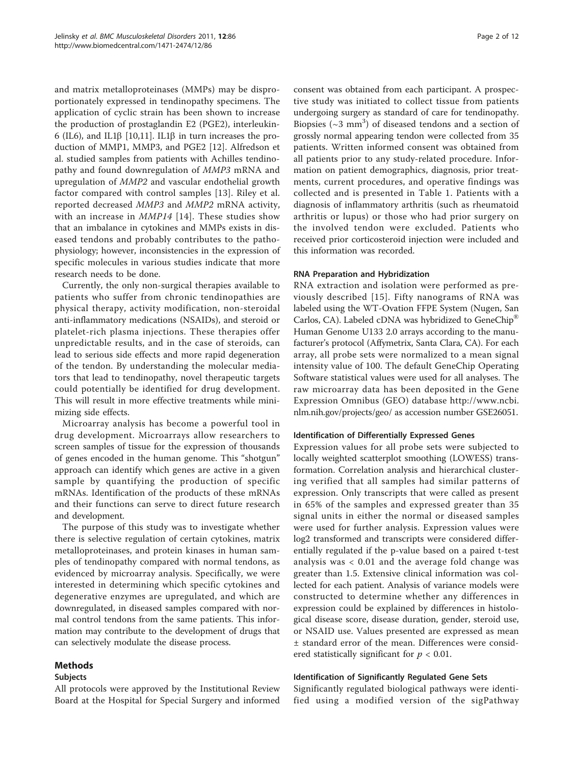and matrix metalloproteinases (MMPs) may be disproportionately expressed in tendinopathy specimens. The application of cyclic strain has been shown to increase the production of prostaglandin E2 (PGE2), interleukin-6 (IL6), and IL1 $\beta$  [\[10,11\]](#page-10-0). IL1 $\beta$  in turn increases the production of MMP1, MMP3, and PGE2 [\[12](#page-10-0)]. Alfredson et al. studied samples from patients with Achilles tendinopathy and found downregulation of MMP3 mRNA and upregulation of MMP2 and vascular endothelial growth factor compared with control samples [\[13](#page-10-0)]. Riley et al. reported decreased MMP3 and MMP2 mRNA activity, with an increase in MMP14 [[14](#page-10-0)]. These studies show that an imbalance in cytokines and MMPs exists in diseased tendons and probably contributes to the pathophysiology; however, inconsistencies in the expression of specific molecules in various studies indicate that more research needs to be done.

Currently, the only non-surgical therapies available to patients who suffer from chronic tendinopathies are physical therapy, activity modification, non-steroidal anti-inflammatory medications (NSAIDs), and steroid or platelet-rich plasma injections. These therapies offer unpredictable results, and in the case of steroids, can lead to serious side effects and more rapid degeneration of the tendon. By understanding the molecular mediators that lead to tendinopathy, novel therapeutic targets could potentially be identified for drug development. This will result in more effective treatments while minimizing side effects.

Microarray analysis has become a powerful tool in drug development. Microarrays allow researchers to screen samples of tissue for the expression of thousands of genes encoded in the human genome. This "shotgun" approach can identify which genes are active in a given sample by quantifying the production of specific mRNAs. Identification of the products of these mRNAs and their functions can serve to direct future research and development.

The purpose of this study was to investigate whether there is selective regulation of certain cytokines, matrix metalloproteinases, and protein kinases in human samples of tendinopathy compared with normal tendons, as evidenced by microarray analysis. Specifically, we were interested in determining which specific cytokines and degenerative enzymes are upregulated, and which are downregulated, in diseased samples compared with normal control tendons from the same patients. This information may contribute to the development of drugs that can selectively modulate the disease process.

# Methods

#### Subjects

All protocols were approved by the Institutional Review Board at the Hospital for Special Surgery and informed

consent was obtained from each participant. A prospective study was initiated to collect tissue from patients undergoing surgery as standard of care for tendinopathy. Biopsies  $({\sim}3$  mm<sup>3</sup>) of diseased tendons and a section of grossly normal appearing tendon were collected from 35 patients. Written informed consent was obtained from all patients prior to any study-related procedure. Information on patient demographics, diagnosis, prior treatments, current procedures, and operative findings was collected and is presented in Table [1.](#page-2-0) Patients with a diagnosis of inflammatory arthritis (such as rheumatoid arthritis or lupus) or those who had prior surgery on the involved tendon were excluded. Patients who received prior corticosteroid injection were included and this information was recorded.

### RNA Preparation and Hybridization

RNA extraction and isolation were performed as previously described [[15](#page-10-0)]. Fifty nanograms of RNA was labeled using the WT-Ovation FFPE System (Nugen, San Carlos, CA). Labeled cDNA was hybridized to GeneChip® Human Genome U133 2.0 arrays according to the manufacturer's protocol (Affymetrix, Santa Clara, CA). For each array, all probe sets were normalized to a mean signal intensity value of 100. The default GeneChip Operating Software statistical values were used for all analyses. The raw microarray data has been deposited in the Gene Expression Omnibus (GEO) database [http://www.ncbi.](http://www.ncbi.nlm.nih.gov/projects/geo/) [nlm.nih.gov/projects/geo/](http://www.ncbi.nlm.nih.gov/projects/geo/) as accession number GSE26051.

# Identification of Differentially Expressed Genes

Expression values for all probe sets were subjected to locally weighted scatterplot smoothing (LOWESS) transformation. Correlation analysis and hierarchical clustering verified that all samples had similar patterns of expression. Only transcripts that were called as present in 65% of the samples and expressed greater than 35 signal units in either the normal or diseased samples were used for further analysis. Expression values were log2 transformed and transcripts were considered differentially regulated if the p-value based on a paired t-test analysis was  $< 0.01$  and the average fold change was greater than 1.5. Extensive clinical information was collected for each patient. Analysis of variance models were constructed to determine whether any differences in expression could be explained by differences in histological disease score, disease duration, gender, steroid use, or NSAID use. Values presented are expressed as mean ± standard error of the mean. Differences were considered statistically significant for  $p < 0.01$ .

# Identification of Significantly Regulated Gene Sets

Significantly regulated biological pathways were identified using a modified version of the sigPathway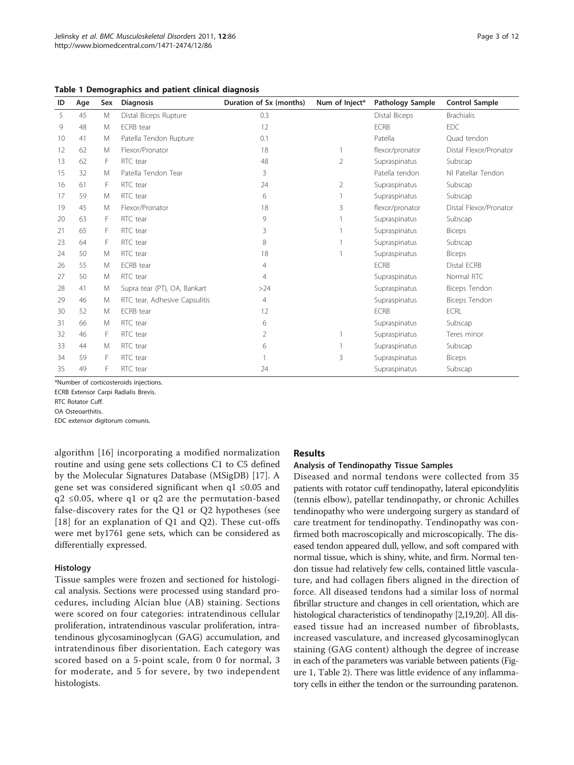| ID | Age | Sex | <b>Diagnosis</b>              | Duration of Sx (months) | Num of Inject* | Pathology Sample | <b>Control Sample</b>  |
|----|-----|-----|-------------------------------|-------------------------|----------------|------------------|------------------------|
| 5  | 45  | M   | Distal Biceps Rupture         | 0.3                     |                | Distal Biceps    | <b>Brachialis</b>      |
| 9  | 48  | M   | <b>ECRB</b> tear              | 12                      |                | <b>ECRB</b>      | EDC                    |
| 10 | 41  | M   | Patella Tendon Rupture        | 0.1                     |                | Patella          | Ouad tendon            |
| 12 | 62  | M   | Flexor/Pronator               | 18                      |                | flexor/pronator  | Distal Flexor/Pronator |
| 13 | 62  | F   | RTC tear                      | 48                      | $\overline{2}$ | Supraspinatus    | Subscap                |
| 15 | 32  | M   | Patella Tendon Tear           | 3                       |                | Patella tendon   | NI Patellar Tendon     |
| 16 | 61  | F   | RTC tear                      | 24                      | 2              | Supraspinatus    | Subscap                |
| 17 | 59  | M   | RTC tear                      | 6                       |                | Supraspinatus    | Subscap                |
| 19 | 45  | M   | Flexor/Pronator               | 18                      | 3              | flexor/pronator  | Distal Flexor/Pronator |
| 20 | 63  | F   | RTC tear                      | 9                       |                | Supraspinatus    | Subscap                |
| 21 | 65  | F   | RTC tear                      | 3                       |                | Supraspinatus    | <b>Biceps</b>          |
| 23 | 64  | F   | RTC tear                      | 8                       |                | Supraspinatus    | Subscap                |
| 24 | 50  | M   | RTC tear                      | 18                      |                | Supraspinatus    | <b>Biceps</b>          |
| 26 | 55  | M   | <b>ECRB</b> tear              | 4                       |                | <b>ECRB</b>      | Distal ECRB            |
| 27 | 50  | M   | RTC tear                      | $\overline{4}$          |                | Supraspinatus    | Normal RTC             |
| 28 | 41  | M   | Supra tear (PT), OA, Bankart  | >24                     |                | Supraspinatus    | Biceps Tendon          |
| 29 | 46  | M   | RTC tear, Adhesive Capsulitis | $\overline{4}$          |                | Supraspinatus    | Biceps Tendon          |
| 30 | 52  | M   | <b>ECRB</b> tear              | 12                      |                | <b>ECRB</b>      | <b>ECRL</b>            |
| 31 | 66  | M   | RTC tear                      | 6                       |                | Supraspinatus    | Subscap                |
| 32 | 46  | F   | RTC tear                      | 2                       |                | Supraspinatus    | Teres minor            |
| 33 | 44  | M   | RTC tear                      | 6                       |                | Supraspinatus    | Subscap                |
| 34 | 59  | F   | RTC tear                      |                         | 3              | Supraspinatus    | <b>Biceps</b>          |
| 35 | 49  | F   | RTC tear                      | 24                      |                | Supraspinatus    | Subscap                |

<span id="page-2-0"></span>Table 1 Demographics and patient clinical diagnosis

\*Number of corticosteroids injections.

ECRB Extensor Carpi Radialis Brevis.

RTC Rotator Cuff.

OA Osteoarthitis.

EDC extensor digitorum comunis.

algorithm [[16\]](#page-10-0) incorporating a modified normalization routine and using gene sets collections C1 to C5 defined by the Molecular Signatures Database (MSigDB) [[17\]](#page-10-0). A gene set was considered significant when q1 ≤0.05 and  $q2 \leq 0.05$ , where q1 or q2 are the permutation-based false-discovery rates for the Q1 or Q2 hypotheses (see [[18](#page-10-0)] for an explanation of Q1 and Q2). These cut-offs were met by1761 gene sets, which can be considered as differentially expressed.

#### Histology

Tissue samples were frozen and sectioned for histological analysis. Sections were processed using standard procedures, including Alcian blue (AB) staining. Sections were scored on four categories: intratendinous cellular proliferation, intratendinous vascular proliferation, intratendinous glycosaminoglycan (GAG) accumulation, and intratendinous fiber disorientation. Each category was scored based on a 5-point scale, from 0 for normal, 3 for moderate, and 5 for severe, by two independent histologists.

#### **Results**

### Analysis of Tendinopathy Tissue Samples

Diseased and normal tendons were collected from 35 patients with rotator cuff tendinopathy, lateral epicondylitis (tennis elbow), patellar tendinopathy, or chronic Achilles tendinopathy who were undergoing surgery as standard of care treatment for tendinopathy. Tendinopathy was confirmed both macroscopically and microscopically. The diseased tendon appeared dull, yellow, and soft compared with normal tissue, which is shiny, white, and firm. Normal tendon tissue had relatively few cells, contained little vasculature, and had collagen fibers aligned in the direction of force. All diseased tendons had a similar loss of normal fibrillar structure and changes in cell orientation, which are histological characteristics of tendinopathy [\[2,19,20\]](#page-10-0). All diseased tissue had an increased number of fibroblasts, increased vasculature, and increased glycosaminoglycan staining (GAG content) although the degree of increase in each of the parameters was variable between patients (Figure [1](#page-3-0), Table [2](#page-4-0)). There was little evidence of any inflammatory cells in either the tendon or the surrounding paratenon.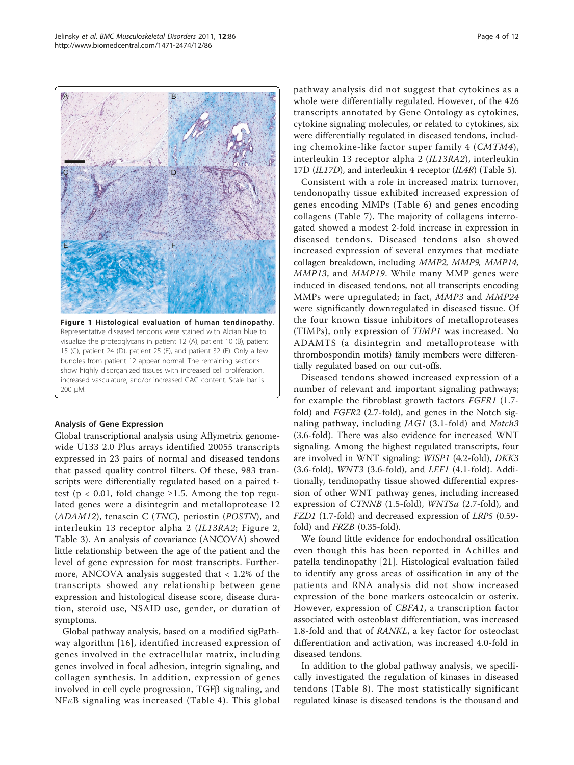<span id="page-3-0"></span>

Figure 1 Histological evaluation of human tendinopathy. Representative diseased tendons were stained with Alcian blue to visualize the proteoglycans in patient 12 (A), patient 10 (B), patient 15 (C), patient 24 (D), patient 25 (E), and patient 32 (F). Only a few bundles from patient 12 appear normal. The remaining sections show highly disorganized tissues with increased cell proliferation, increased vasculature, and/or increased GAG content. Scale bar is 200 μM.

#### Analysis of Gene Expression

Global transcriptional analysis using Affymetrix genomewide U133 2.0 Plus arrays identified 20055 transcripts expressed in 23 pairs of normal and diseased tendons that passed quality control filters. Of these, 983 transcripts were differentially regulated based on a paired ttest ( $p < 0.01$ , fold change ≥1.5. Among the top regulated genes were a disintegrin and metalloprotease 12  $(ADAM12)$ , tenascin C (*TNC*), periostin (*POSTN*), and interleukin 13 receptor alpha 2 (IL13RA2; Figure [2](#page-4-0), Table [3](#page-5-0)). An analysis of covariance (ANCOVA) showed little relationship between the age of the patient and the level of gene expression for most transcripts. Furthermore, ANCOVA analysis suggested that < 1.2% of the transcripts showed any relationship between gene expression and histological disease score, disease duration, steroid use, NSAID use, gender, or duration of symptoms.

Global pathway analysis, based on a modified sigPathway algorithm [[16\]](#page-10-0), identified increased expression of genes involved in the extracellular matrix, including genes involved in focal adhesion, integrin signaling, and collagen synthesis. In addition, expression of genes involved in cell cycle progression,  $TGF\beta$  signaling, and  $NF<sub>κ</sub>B$  signaling was increased (Table [4](#page-6-0)). This global pathway analysis did not suggest that cytokines as a whole were differentially regulated. However, of the 426 transcripts annotated by Gene Ontology as cytokines, cytokine signaling molecules, or related to cytokines, six were differentially regulated in diseased tendons, including chemokine-like factor super family 4 (CMTM4), interleukin 13 receptor alpha 2 (IL13RA2), interleukin 17D (IL17D), and interleukin 4 receptor (IL4R) (Table [5](#page-6-0)).

Consistent with a role in increased matrix turnover, tendonopathy tissue exhibited increased expression of genes encoding MMPs (Table [6\)](#page-7-0) and genes encoding collagens (Table [7](#page-8-0)). The majority of collagens interrogated showed a modest 2-fold increase in expression in diseased tendons. Diseased tendons also showed increased expression of several enzymes that mediate collagen breakdown, including MMP2, MMP9, MMP14, MMP13, and MMP19. While many MMP genes were induced in diseased tendons, not all transcripts encoding MMPs were upregulated; in fact, MMP3 and MMP24 were significantly downregulated in diseased tissue. Of the four known tissue inhibitors of metalloproteases (TIMPs), only expression of TIMP1 was increased. No ADAMTS (a disintegrin and metalloprotease with thrombospondin motifs) family members were differentially regulated based on our cut-offs.

Diseased tendons showed increased expression of a number of relevant and important signaling pathways; for example the fibroblast growth factors FGFR1 (1.7 fold) and FGFR2 (2.7-fold), and genes in the Notch signaling pathway, including JAG1 (3.1-fold) and Notch3 (3.6-fold). There was also evidence for increased WNT signaling. Among the highest regulated transcripts, four are involved in WNT signaling: WISP1 (4.2-fold), DKK3 (3.6-fold), WNT3 (3.6-fold), and LEF1 (4.1-fold). Additionally, tendinopathy tissue showed differential expression of other WNT pathway genes, including increased expression of CTNNB (1.5-fold), WNT5a (2.7-fold), and FZD1 (1.7-fold) and decreased expression of LRP5 (0.59 fold) and FRZB (0.35-fold).

We found little evidence for endochondral ossification even though this has been reported in Achilles and patella tendinopathy [\[21](#page-10-0)]. Histological evaluation failed to identify any gross areas of ossification in any of the patients and RNA analysis did not show increased expression of the bone markers osteocalcin or osterix. However, expression of CBFA1, a transcription factor associated with osteoblast differentiation, was increased 1.8-fold and that of RANKL, a key factor for osteoclast differentiation and activation, was increased 4.0-fold in diseased tendons.

In addition to the global pathway analysis, we specifically investigated the regulation of kinases in diseased tendons (Table [8\)](#page-9-0). The most statistically significant regulated kinase is diseased tendons is the thousand and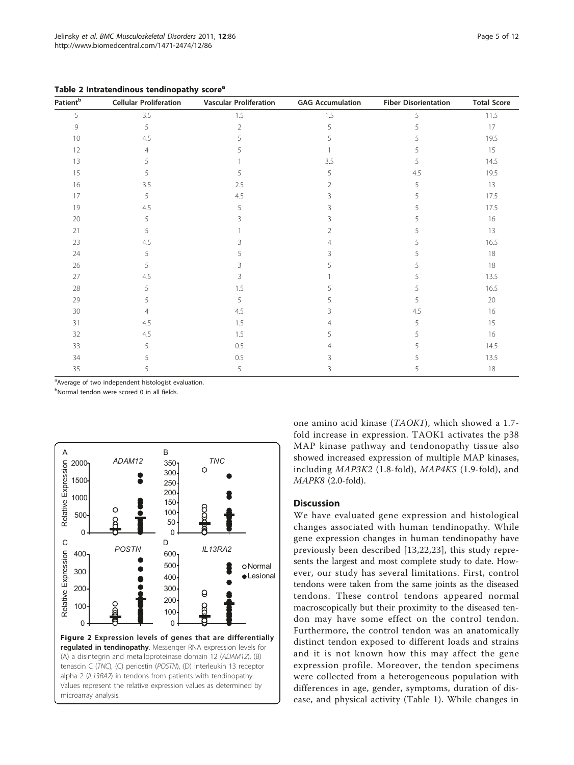| Patient <sup>b</sup> | <b>Cellular Proliferation</b> | <b>Vascular Proliferation</b> | <b>GAG Accumulation</b> | <b>Fiber Disorientation</b> | <b>Total Score</b> |
|----------------------|-------------------------------|-------------------------------|-------------------------|-----------------------------|--------------------|
| 5                    | 3.5                           | 1.5                           | 1.5                     | 5                           | 11.5               |
| 9                    | 5                             | $\overline{2}$                | 5                       |                             | 17                 |
| 10                   | 4.5                           |                               |                         |                             | 19.5               |
| 12                   |                               |                               |                         |                             | 15                 |
| 13                   |                               |                               | 3.5                     | 5                           | 14.5               |
| 15                   |                               | 5                             | 5                       | 4.5                         | 19.5               |
| 16                   | 3.5                           | 2.5                           |                         | 5                           | 13                 |
| 17                   | 5                             | 4.5                           | ζ                       | 5                           | 17.5               |
| 19                   | 4.5                           | 5                             | ζ                       |                             | 17.5               |
| 20                   | 5                             | ς                             | ς                       |                             | 16                 |
| 21                   | 5                             |                               | 2                       |                             | 13                 |
| 23                   | 4.5                           |                               |                         |                             | 16.5               |
| 24                   | 5                             |                               |                         |                             | 18                 |
| 26                   |                               |                               |                         |                             | 18                 |
| 27                   | 4.5                           | 3                             |                         |                             | 13.5               |
| 28                   | 5                             | 1.5                           |                         |                             | 16.5               |
| 29                   |                               | 5                             |                         |                             | 20                 |
| 30                   |                               | 4.5                           |                         | 4.5                         | 16                 |
| 31                   | 4.5                           | 1.5                           |                         |                             | 15                 |
| 32                   | 4.5                           | 1.5                           |                         |                             | 16                 |
| 33                   | 5                             | 0.5                           |                         |                             | 14.5               |
| 34                   |                               | 0.5                           |                         |                             | 13.5               |
| 35                   | 5                             | 5                             | 3                       |                             | 18                 |

<span id="page-4-0"></span>Table 2 Intratendinous tendinopathy score<sup>a</sup>

<sup>a</sup>Average of two independent histologist evaluation.

<sup>b</sup>Normal tendon were scored 0 in all fields.



one amino acid kinase (TAOK1), which showed a 1.7 fold increase in expression. TAOK1 activates the p38 MAP kinase pathway and tendonopathy tissue also showed increased expression of multiple MAP kinases, including MAP3K2 (1.8-fold), MAP4K5 (1.9-fold), and MAPK8 (2.0-fold).

# **Discussion**

We have evaluated gene expression and histological changes associated with human tendinopathy. While gene expression changes in human tendinopathy have previously been described [[13,22](#page-10-0),[23](#page-10-0)], this study represents the largest and most complete study to date. However, our study has several limitations. First, control tendons were taken from the same joints as the diseased tendons. These control tendons appeared normal macroscopically but their proximity to the diseased tendon may have some effect on the control tendon. Furthermore, the control tendon was an anatomically distinct tendon exposed to different loads and strains and it is not known how this may affect the gene expression profile. Moreover, the tendon specimens were collected from a heterogeneous population with differences in age, gender, symptoms, duration of disease, and physical activity (Table [1\)](#page-2-0). While changes in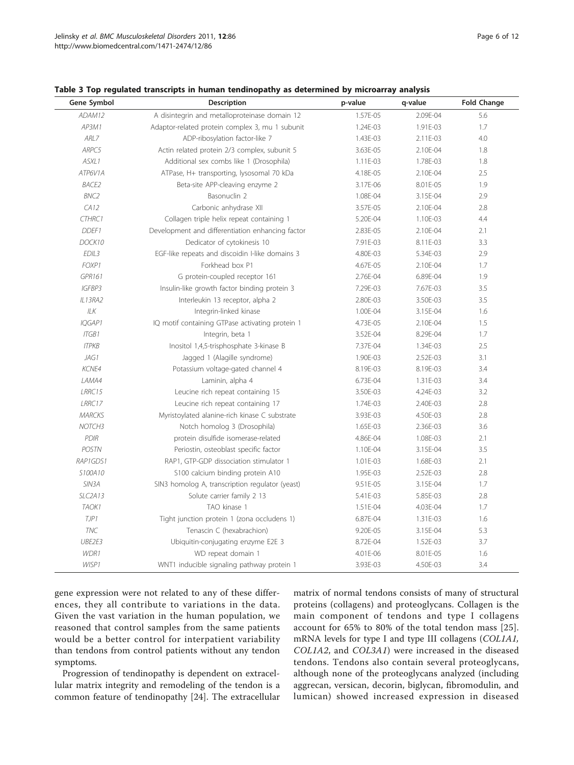| Gene Symbol        | Description                                      | p-value  | q-value  | <b>Fold Change</b> |
|--------------------|--------------------------------------------------|----------|----------|--------------------|
| ADAM12             | A disintegrin and metalloproteinase domain 12    | 1.57E-05 | 2.09E-04 | 5.6                |
| AP3M1              | Adaptor-related protein complex 3, mu 1 subunit  | 1.24E-03 | 1.91E-03 | 1.7                |
| ARL7               | ADP-ribosylation factor-like 7                   | 1.43E-03 | 2.11E-03 | 4.0                |
| ARPC5              | Actin related protein 2/3 complex, subunit 5     | 3.63E-05 | 2.10E-04 | 1.8                |
| ASXL1              | Additional sex combs like 1 (Drosophila)         | 1.11E-03 | 1.78E-03 | 1.8                |
| ATP6V1A            | ATPase, H+ transporting, lysosomal 70 kDa        | 4.18E-05 | 2.10E-04 | 2.5                |
| <b>BACE2</b>       | Beta-site APP-cleaving enzyme 2                  | 3.17E-06 | 8.01E-05 | 1.9                |
| <b>BNC2</b>        | Basonuclin <sub>2</sub>                          | 1.08E-04 | 3.15E-04 | 2.9                |
| CA12               | Carbonic anhydrase XII                           | 3.57E-05 | 2.10E-04 | 2.8                |
| CTHRC1             | Collagen triple helix repeat containing 1        | 5.20E-04 | 1.10E-03 | 4.4                |
| DDEF1              | Development and differentiation enhancing factor | 2.83E-05 | 2.10E-04 | 2.1                |
| DOCK10             | Dedicator of cytokinesis 10                      | 7.91E-03 | 8.11E-03 | 3.3                |
| EDIL <sub>3</sub>  | EGF-like repeats and discoidin I-like domains 3  | 4.80E-03 | 5.34E-03 | 2.9                |
| FOXP1              | Forkhead box P1                                  | 4.67E-05 | 2.10E-04 | 1.7                |
| GPR161             | G protein-coupled receptor 161                   | 2.76E-04 | 6.89E-04 | 1.9                |
| IGFBP3             | Insulin-like growth factor binding protein 3     | 7.29E-03 | 7.67E-03 | 3.5                |
| IL13RA2            | Interleukin 13 receptor, alpha 2                 | 2.80E-03 | 3.50E-03 | 3.5                |
| ILK                | Integrin-linked kinase                           | 1.00E-04 | 3.15E-04 | 1.6                |
| IQGAP1             | IQ motif containing GTPase activating protein 1  | 4.73E-05 | 2.10E-04 | 1.5                |
| <b>ITGB1</b>       | Integrin, beta 1                                 | 3.52E-04 | 8.29E-04 | 1.7                |
| <b>ITPKB</b>       | Inositol 1,4,5-trisphosphate 3-kinase B          | 7.37E-04 | 1.34E-03 | 2.5                |
| JAG1               | Jagged 1 (Alagille syndrome)                     | 1.90E-03 | 2.52E-03 | 3.1                |
| KCNE4              | Potassium voltage-gated channel 4                | 8.19E-03 | 8.19E-03 | 3.4                |
| LAMA4              | Laminin, alpha 4                                 | 6.73E-04 | 1.31E-03 | 3.4                |
| LRRC15             | Leucine rich repeat containing 15                | 3.50E-03 | 4.24E-03 | 3.2                |
| LRRC17             | Leucine rich repeat containing 17                | 1.74E-03 | 2.40E-03 | 2.8                |
| <b>MARCKS</b>      | Myristoylated alanine-rich kinase C substrate    | 3.93E-03 | 4.50E-03 | 2.8                |
| NOTCH <sub>3</sub> | Notch homolog 3 (Drosophila)                     | 1.65E-03 | 2.36E-03 | 3.6                |
| PDIR               | protein disulfide isomerase-related              | 4.86E-04 | 1.08E-03 | 2.1                |
| <b>POSTN</b>       | Periostin, osteoblast specific factor            | 1.10E-04 | 3.15E-04 | 3.5                |
| RAP1GDS1           | RAP1, GTP-GDP dissociation stimulator 1          | 1.01E-03 | 1.68E-03 | 2.1                |
| S100A10            | S100 calcium binding protein A10                 | 1.95E-03 | 2.52E-03 | 2.8                |
| SIN3A              | SIN3 homolog A, transcription regulator (yeast)  | 9.51E-05 | 3.15E-04 | 1.7                |
| SLC2A13            | Solute carrier family 2 13                       | 5.41E-03 | 5.85E-03 | 2.8                |
| TAOK1              | TAO kinase 1                                     | 1.51E-04 | 4.03E-04 | 1.7                |
| TJP1               | Tight junction protein 1 (zona occludens 1)      | 6.87E-04 | 1.31E-03 | 1.6                |
| <b>TNC</b>         | Tenascin C (hexabrachion)                        | 9.20E-05 | 3.15E-04 | 5.3                |
| UBE2E3             | Ubiquitin-conjugating enzyme E2E 3               | 8.72E-04 | 1.52E-03 | 3.7                |
| WDR1               | WD repeat domain 1                               | 4.01E-06 | 8.01E-05 | 1.6                |
| WISP1              | WNT1 inducible signaling pathway protein 1       | 3.93E-03 | 4.50E-03 | 3.4                |

<span id="page-5-0"></span>Table 3 Top regulated transcripts in human tendinopathy as determined by microarray analysis

gene expression were not related to any of these differences, they all contribute to variations in the data. Given the vast variation in the human population, we reasoned that control samples from the same patients would be a better control for interpatient variability than tendons from control patients without any tendon symptoms.

Progression of tendinopathy is dependent on extracellular matrix integrity and remodeling of the tendon is a common feature of tendinopathy [\[24\]](#page-10-0). The extracellular matrix of normal tendons consists of many of structural proteins (collagens) and proteoglycans. Collagen is the main component of tendons and type I collagens account for 65% to 80% of the total tendon mass [[25](#page-10-0)]. mRNA levels for type I and type III collagens (COL1A1, COL1A2, and COL3A1) were increased in the diseased tendons. Tendons also contain several proteoglycans, although none of the proteoglycans analyzed (including aggrecan, versican, decorin, biglycan, fibromodulin, and lumican) showed increased expression in diseased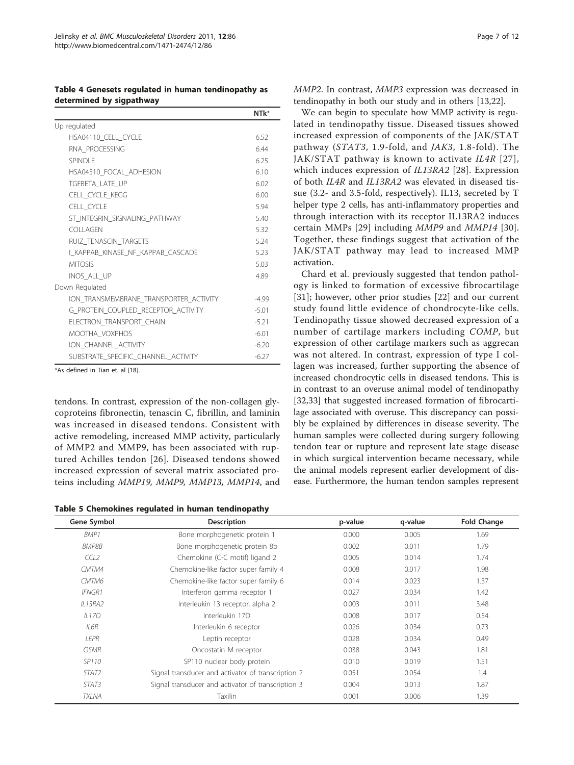<span id="page-6-0"></span>Table 4 Genesets regulated in human tendinopathy as determined by sigpathway

|                                        | NTk*    |
|----------------------------------------|---------|
| Up regulated                           |         |
| HSA04110_CELL_CYCLE                    | 6.52    |
| RNA PROCESSING                         | 6.44    |
| SPINDI F                               | 6.25    |
| HSA04510 FOCAL ADHESION                | 610     |
| TGFBETA LATE UP                        | 6.02    |
| CELL_CYCLE_KEGG                        | 6.00    |
| CELL CYCLE                             | 5.94    |
| ST INTEGRIN SIGNALING PATHWAY          | 5.40    |
| COLLAGEN                               | 5.32    |
| RUIZ TENASCIN TARGETS                  | 5.24    |
| I KAPPAB KINASE NF KAPPAB CASCADE      | 5.23    |
| <b>MITOSIS</b>                         | 5.03    |
| INOS ALL UP                            | 4.89    |
| Down Regulated                         |         |
| ION_TRANSMEMBRANE_TRANSPORTER_ACTIVITY | $-4.99$ |
| G_PROTEIN_COUPLED_RECEPTOR_ACTIVITY    | $-5.01$ |
| ELECTRON_TRANSPORT_CHAIN               | $-5.21$ |
| MOOTHA VOXPHOS                         | $-6.01$ |
| ION CHANNEL ACTIVITY                   | $-6.20$ |
| SUBSTRATE SPECIFIC CHANNEL ACTIVITY    | $-6.27$ |

\*As defined in Tian et. al [[18\]](#page-10-0).

tendons. In contrast, expression of the non-collagen glycoproteins fibronectin, tenascin C, fibrillin, and laminin was increased in diseased tendons. Consistent with active remodeling, increased MMP activity, particularly of MMP2 and MMP9, has been associated with ruptured Achilles tendon [[26\]](#page-10-0). Diseased tendons showed increased expression of several matrix associated proteins including MMP19, MMP9, MMP13, MMP14, and

Table 5 Chemokines regulated in human tendinopathy

MMP2. In contrast, MMP3 expression was decreased in tendinopathy in both our study and in others [[13,22\]](#page-10-0).

We can begin to speculate how MMP activity is regulated in tendinopathy tissue. Diseased tissues showed increased expression of components of the JAK/STAT pathway (STAT3, 1.9-fold, and JAK3, 1.8-fold). The JAK/STAT pathway is known to activate IL4R [[27\]](#page-10-0), which induces expression of IL13RA2 [\[28\]](#page-10-0). Expression of both IL4R and IL13RA2 was elevated in diseased tissue (3.2- and 3.5-fold, respectively). IL13, secreted by T helper type 2 cells, has anti-inflammatory properties and through interaction with its receptor IL13RA2 induces certain MMPs [[29\]](#page-10-0) including MMP9 and MMP14 [[30](#page-10-0)]. Together, these findings suggest that activation of the JAK/STAT pathway may lead to increased MMP activation.

Chard et al. previously suggested that tendon pathology is linked to formation of excessive fibrocartilage [[31](#page-10-0)]; however, other prior studies [[22](#page-10-0)] and our current study found little evidence of chondrocyte-like cells. Tendinopathy tissue showed decreased expression of a number of cartilage markers including COMP, but expression of other cartilage markers such as aggrecan was not altered. In contrast, expression of type I collagen was increased, further supporting the absence of increased chondrocytic cells in diseased tendons. This is in contrast to an overuse animal model of tendinopathy [[32,33\]](#page-10-0) that suggested increased formation of fibrocartilage associated with overuse. This discrepancy can possibly be explained by differences in disease severity. The human samples were collected during surgery following tendon tear or rupture and represent late stage disease in which surgical intervention became necessary, while the animal models represent earlier development of disease. Furthermore, the human tendon samples represent

| Gene Symbol        | <b>Description</b>                                 | p-value | q-value | <b>Fold Change</b> |
|--------------------|----------------------------------------------------|---------|---------|--------------------|
| BMP1               | Bone morphogenetic protein 1                       | 0.000   | 0.005   | 1.69               |
| <b>BMP8B</b>       | Bone morphogenetic protein 8b                      | 0.002   | 0.011   | 1.79               |
| CCL2               | Chemokine (C-C motif) ligand 2                     | 0.005   | 0.014   | 1.74               |
| CMTM4              | Chemokine-like factor super family 4               | 0.008   | 0.017   | 1.98               |
| CMTM6              | Chemokine-like factor super family 6               | 0.014   | 0.023   | 1.37               |
| <b>IFNGR1</b>      | Interferon gamma receptor 1                        | 0.027   | 0.034   | 1.42               |
| IL13RA2            | Interleukin 13 receptor, alpha 2                   | 0.003   | 0.011   | 3.48               |
| IL17D              | Interleukin 17D                                    | 0.008   | 0.017   | 0.54               |
| IL6R               | Interleukin 6 receptor                             | 0.026   | 0.034   | 0.73               |
| LEPR               | Leptin receptor                                    | 0.028   | 0.034   | 0.49               |
| <i><b>OSMR</b></i> | Oncostatin M receptor                              | 0.038   | 0.043   | 1.81               |
| SP110              | SP110 nuclear body protein                         | 0.010   | 0.019   | 1.51               |
| STAT2              | Signal transducer and activator of transcription 2 | 0.051   | 0.054   | 1.4                |
| STAT3              | Signal transducer and activator of transcription 3 | 0.004   | 0.013   | 1.87               |
| <b>TXLNA</b>       | Taxilin                                            | 0.001   | 0.006   | 1.39               |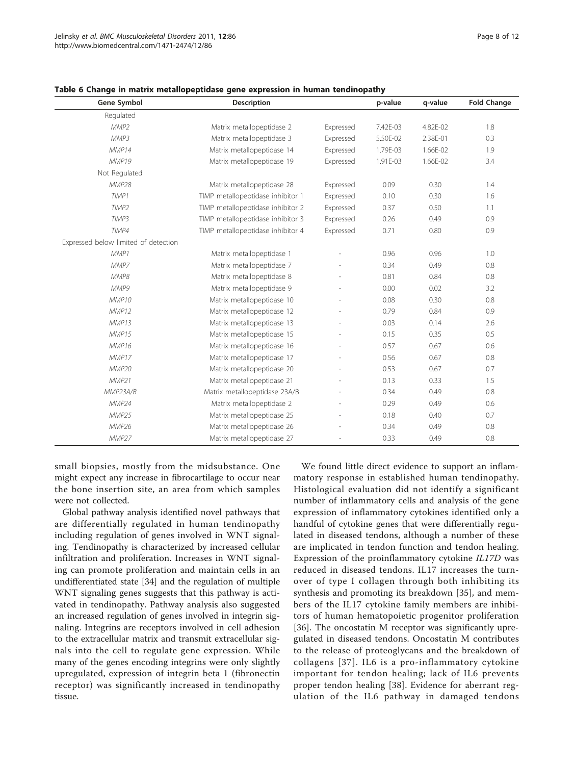| Gene Symbol                          | <b>Description</b>                |           | p-value  | q-value  | <b>Fold Change</b> |
|--------------------------------------|-----------------------------------|-----------|----------|----------|--------------------|
| Regulated                            |                                   |           |          |          |                    |
| MMP <sub>2</sub>                     | Matrix metallopeptidase 2         | Expressed | 7.42E-03 | 4.82E-02 | 1.8                |
| MMP3                                 | Matrix metallopeptidase 3         | Expressed | 5.50E-02 | 2.38E-01 | 0.3                |
| MMP14                                | Matrix metallopeptidase 14        | Expressed | 1.79E-03 | 1.66E-02 | 1.9                |
| MMP19                                | Matrix metallopeptidase 19        | Expressed | 1.91E-03 | 1.66E-02 | 3.4                |
| Not Regulated                        |                                   |           |          |          |                    |
| MMP28                                | Matrix metallopeptidase 28        | Expressed | 0.09     | 0.30     | 1.4                |
| TIMP1                                | TIMP metallopeptidase inhibitor 1 | Expressed | 0.10     | 0.30     | 1.6                |
| TIMP <sub>2</sub>                    | TIMP metallopeptidase inhibitor 2 | Expressed | 0.37     | 0.50     | 1.1                |
| TIMP3                                | TIMP metallopeptidase inhibitor 3 | Expressed | 0.26     | 0.49     | 0.9                |
| TIMP4                                | TIMP metallopeptidase inhibitor 4 | Expressed | 0.71     | 0.80     | 0.9                |
| Expressed below limited of detection |                                   |           |          |          |                    |
| MMP1                                 | Matrix metallopeptidase 1         |           | 0.96     | 0.96     | 1.0                |
| MMP7                                 | Matrix metallopeptidase 7         |           | 0.34     | 0.49     | 0.8                |
| MMP8                                 | Matrix metallopeptidase 8         |           | 0.81     | 0.84     | 0.8                |
| MMP9                                 | Matrix metallopeptidase 9         |           | 0.00     | 0.02     | 3.2                |
| MMP10                                | Matrix metallopeptidase 10        |           | 0.08     | 0.30     | 0.8                |
| MMP12                                | Matrix metallopeptidase 12        |           | 0.79     | 0.84     | 0.9                |
| MMP13                                | Matrix metallopeptidase 13        |           | 0.03     | 0.14     | 2.6                |
| MMP15                                | Matrix metallopeptidase 15        |           | 0.15     | 0.35     | 0.5                |
| MMP16                                | Matrix metallopeptidase 16        |           | 0.57     | 0.67     | 0.6                |
| MMP17                                | Matrix metallopeptidase 17        |           | 0.56     | 0.67     | 0.8                |
| MMP20                                | Matrix metallopeptidase 20        |           | 0.53     | 0.67     | 0.7                |
| MMP21                                | Matrix metallopeptidase 21        |           | 0.13     | 0.33     | 1.5                |
| MMP23A/B                             | Matrix metallopeptidase 23A/B     |           | 0.34     | 0.49     | 0.8                |
| MMP24                                | Matrix metallopeptidase 2         |           | 0.29     | 0.49     | 0.6                |
| MMP25                                | Matrix metallopeptidase 25        |           | 0.18     | 0.40     | 0.7                |
| MMP26                                | Matrix metallopeptidase 26        |           | 0.34     | 0.49     | 0.8                |
| MMP27                                | Matrix metallopeptidase 27        |           | 0.33     | 0.49     | 0.8                |

<span id="page-7-0"></span>Table 6 Change in matrix metallopeptidase gene expression in human tendinopathy

small biopsies, mostly from the midsubstance. One might expect any increase in fibrocartilage to occur near the bone insertion site, an area from which samples were not collected.

Global pathway analysis identified novel pathways that are differentially regulated in human tendinopathy including regulation of genes involved in WNT signaling. Tendinopathy is characterized by increased cellular infiltration and proliferation. Increases in WNT signaling can promote proliferation and maintain cells in an undifferentiated state [\[34\]](#page-10-0) and the regulation of multiple WNT signaling genes suggests that this pathway is activated in tendinopathy. Pathway analysis also suggested an increased regulation of genes involved in integrin signaling. Integrins are receptors involved in cell adhesion to the extracellular matrix and transmit extracellular signals into the cell to regulate gene expression. While many of the genes encoding integrins were only slightly upregulated, expression of integrin beta 1 (fibronectin receptor) was significantly increased in tendinopathy tissue.

We found little direct evidence to support an inflammatory response in established human tendinopathy. Histological evaluation did not identify a significant number of inflammatory cells and analysis of the gene expression of inflammatory cytokines identified only a handful of cytokine genes that were differentially regulated in diseased tendons, although a number of these are implicated in tendon function and tendon healing. Expression of the proinflammatory cytokine IL17D was reduced in diseased tendons. IL17 increases the turnover of type I collagen through both inhibiting its synthesis and promoting its breakdown [[35\]](#page-10-0), and members of the IL17 cytokine family members are inhibitors of human hematopoietic progenitor proliferation [[36\]](#page-10-0). The oncostatin M receptor was significantly upregulated in diseased tendons. Oncostatin M contributes to the release of proteoglycans and the breakdown of collagens [[37](#page-10-0)]. IL6 is a pro-inflammatory cytokine important for tendon healing; lack of IL6 prevents proper tendon healing [[38\]](#page-10-0). Evidence for aberrant regulation of the IL6 pathway in damaged tendons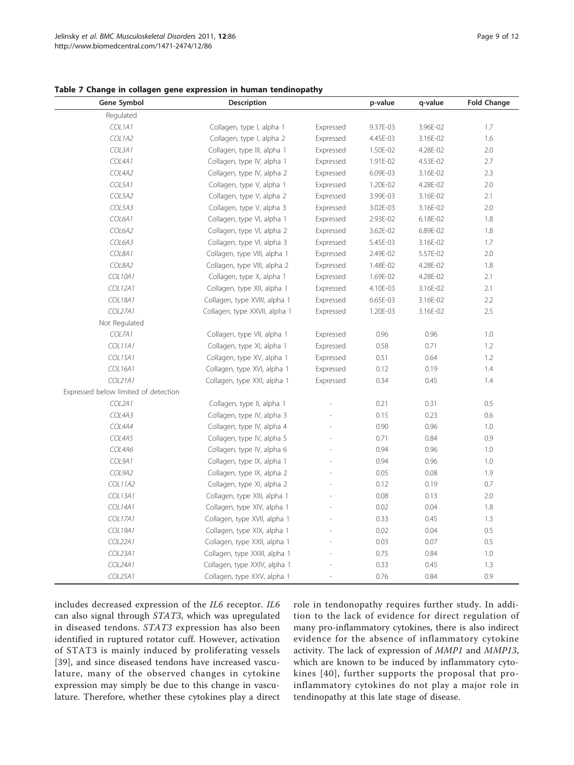<span id="page-8-0"></span>

|  |  |  |  |  |  |  | Table 7 Change in collagen gene expression in human tendinopathy |  |
|--|--|--|--|--|--|--|------------------------------------------------------------------|--|
|--|--|--|--|--|--|--|------------------------------------------------------------------|--|

| Gene Symbol                          | <b>Description</b>            | p-value   | q-value  | <b>Fold Change</b> |     |
|--------------------------------------|-------------------------------|-----------|----------|--------------------|-----|
| Regulated                            |                               |           |          |                    |     |
| COL1A1                               | Collagen, type I, alpha 1     | Expressed | 9.37E-03 | 3.96E-02           | 1.7 |
| COL1A2                               | Collagen, type I, alpha 2     | Expressed | 4.45E-03 | 3.16E-02           | 1.6 |
| COL3A1                               | Collagen, type III, alpha 1   | Expressed | 1.50E-02 | 4.28E-02           | 2.0 |
| COL4A1                               | Collagen, type IV, alpha 1    | Expressed | 1.91E-02 | 4.53E-02           | 2.7 |
| COL4A2                               | Collagen, type IV, alpha 2    | Expressed | 6.09E-03 | 3.16E-02           | 2.3 |
| COL5A1                               | Collagen, type V, alpha 1     | Expressed | 1.20E-02 | 4.28E-02           | 2.0 |
| COL5A2                               | Collagen, type V, alpha 2     | Expressed | 3.99E-03 | 3.16E-02           | 2.1 |
| COL5A3                               | Collagen, type V, alpha 3     | Expressed | 3.02E-03 | 3.16E-02           | 2.0 |
| COL6A1                               | Collagen, type VI, alpha 1    | Expressed | 2.93E-02 | 6.18E-02           | 1.8 |
| COL6A2                               | Collagen, type VI, alpha 2    | Expressed | 3.62E-02 | 6.89E-02           | 1.8 |
| COL6A3                               | Collagen, type VI, alpha 3    | Expressed | 5.45E-03 | 3.16E-02           | 1.7 |
| COL8A1                               | Collagen, type VIII, alpha 1  | Expressed | 2.49E-02 | 5.57E-02           | 2.0 |
| COL8A2                               | Collagen, type VIII, alpha 2  | Expressed | 1.48E-02 | 4.28E-02           | 1.8 |
| <b>COL10A1</b>                       | Collagen, type X, alpha 1     | Expressed | 1.69E-02 | 4.28E-02           | 2.1 |
| <b>COL12A1</b>                       | Collagen, type XII, alpha 1   | Expressed | 4.10E-03 | 3.16E-02           | 2.1 |
| <b>COL18A1</b>                       | Collagen, type XVIII, alpha 1 | Expressed | 6.65E-03 | 3.16E-02           | 2.2 |
| COL27A1                              | Collagen, type XXVII, alpha 1 | Expressed | 1.20E-03 | 3.16E-02           | 2.5 |
| Not Regulated                        |                               |           |          |                    |     |
| COL7A1                               | Collagen, type VII, alpha 1   | Expressed | 0.96     | 0.96               | 1.0 |
| COL11A1                              | Collagen, type XI, alpha 1    | Expressed | 0.58     | 0.71               | 1.2 |
| COL15A1                              | Collagen, type XV, alpha 1    | Expressed | 0.51     | 0.64               | 1.2 |
| COL16A1                              | Collagen, type XVI, alpha 1   | Expressed | 0.12     | 0.19               | 1.4 |
| COL21A1                              | Collagen, type XXI, alpha 1   | Expressed | 0.34     | 0.45               | 1.4 |
| Expressed below limited of detection |                               |           |          |                    |     |
| COL2A1                               | Collagen, type II, alpha 1    |           | 0.21     | 0.31               | 0.5 |
| COL4A3                               | Collagen, type IV, alpha 3    |           | 0.15     | 0.23               | 0.6 |
| COL4A4                               | Collagen, type IV, alpha 4    |           | 0.90     | 0.96               | 1.0 |
| COL4A5                               | Collagen, type IV, alpha 5    |           | 0.71     | 0.84               | 0.9 |
| COL4A6                               | Collagen, type IV, alpha 6    |           | 0.94     | 0.96               | 1.0 |
| COL9A1                               | Collagen, type IX, alpha 1    |           | 0.94     | 0.96               | 1.0 |
| COL9A2                               | Collagen, type IX, alpha 2    |           | 0.05     | 0.08               | 1.9 |
| <b>COL11A2</b>                       | Collagen, type XI, alpha 2    |           | 0.12     | 0.19               | 0.7 |
| COL13A1                              | Collagen, type XIII, alpha 1  |           | 0.08     | 0.13               | 2.0 |
| COL14A1                              | Collagen, type XIV, alpha 1   |           | 0.02     | 0.04               | 1.8 |
| <b>COL17A1</b>                       | Collagen, type XVII, alpha 1  |           | 0.33     | 0.45               | 1.3 |
| COL19A1                              | Collagen, type XIX, alpha 1   |           | 0.02     | 0.04               | 0.5 |
| COL22A1                              | Collagen, type XXII, alpha 1  |           | 0.03     | 0.07               | 0.5 |
| COL23A1                              | Collagen, type XXIII, alpha 1 |           | 0.75     | 0.84               | 1.0 |
| COL24A1                              | Collagen, type XXIV, alpha 1  |           | 0.33     | 0.45               | 1.3 |
| COL25A1                              | Collagen, type XXV, alpha 1   |           | 0.76     | 0.84               | 0.9 |

includes decreased expression of the IL6 receptor. IL6 can also signal through STAT3, which was upregulated in diseased tendons. STAT3 expression has also been identified in ruptured rotator cuff. However, activation of STAT3 is mainly induced by proliferating vessels [[39](#page-10-0)], and since diseased tendons have increased vasculature, many of the observed changes in cytokine expression may simply be due to this change in vasculature. Therefore, whether these cytokines play a direct role in tendonopathy requires further study. In addition to the lack of evidence for direct regulation of many pro-inflammatory cytokines, there is also indirect evidence for the absence of inflammatory cytokine activity. The lack of expression of MMP1 and MMP13, which are known to be induced by inflammatory cytokines [[40\]](#page-11-0), further supports the proposal that proinflammatory cytokines do not play a major role in tendinopathy at this late stage of disease.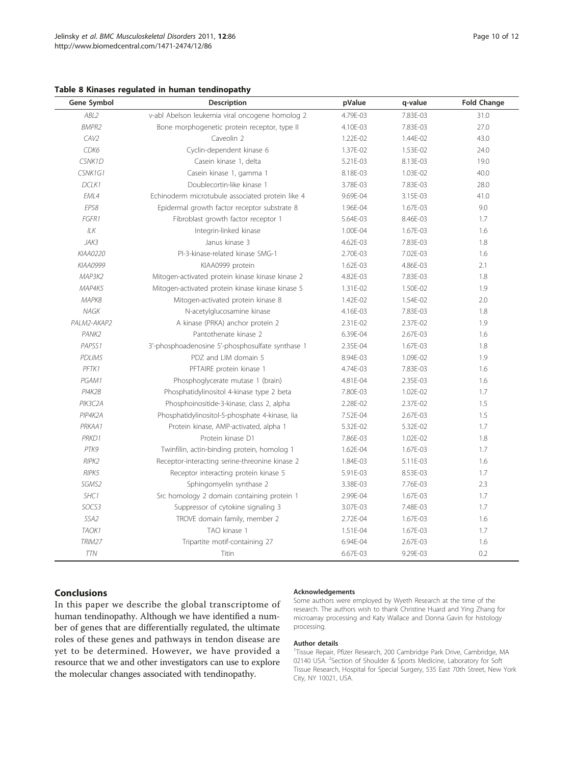<span id="page-9-0"></span>

|  |  |  |  |  |  | Table 8 Kinases regulated in human tendinopathy |  |
|--|--|--|--|--|--|-------------------------------------------------|--|
|--|--|--|--|--|--|-------------------------------------------------|--|

| Gene Symbol      | Description                                      | pValue   | q-value  | <b>Fold Change</b> |
|------------------|--------------------------------------------------|----------|----------|--------------------|
| ABL2             | v-abl Abelson leukemia viral oncogene homolog 2  | 4.79E-03 | 7.83E-03 | 31.0               |
| <b>BMPR2</b>     | Bone morphogenetic protein receptor, type II     | 4.10E-03 | 7.83E-03 | 27.0               |
| CAV <sub>2</sub> | Caveolin 2                                       | 1.22E-02 | 1.44E-02 | 43.0               |
| CDK6             | Cyclin-dependent kinase 6                        | 1.37E-02 | 1.53E-02 | 24.0               |
| CSNK1D           | Casein kinase 1, delta                           | 5.21E-03 | 8.13E-03 | 19.0               |
| CSNK1G1          | Casein kinase 1, gamma 1                         | 8.18E-03 | 1.03E-02 | 40.0               |
| DCLK1            | Doublecortin-like kinase 1                       | 3.78E-03 | 7.83E-03 | 28.0               |
| EML4             | Echinoderm microtubule associated protein like 4 | 9.69E-04 | 3.15E-03 | 41.0               |
| EPS8             | Epidermal growth factor receptor substrate 8     | 1.96E-04 | 1.67E-03 | 9.0                |
| FGFR1            | Fibroblast growth factor receptor 1              | 5.64E-03 | 8.46E-03 | 1.7                |
| ILK              | Integrin-linked kinase                           | 1.00E-04 | 1.67E-03 | 1.6                |
| JAK3             | Janus kinase 3                                   | 4.62E-03 | 7.83E-03 | 1.8                |
| KIAA0220         | PI-3-kinase-related kinase SMG-1                 | 2.70E-03 | 7.02E-03 | 1.6                |
| KIAA0999         | KIAA0999 protein                                 | 1.62E-03 | 4.86E-03 | 2.1                |
| MAP3K2           | Mitogen-activated protein kinase kinase kinase 2 | 4.82E-03 | 7.83E-03 | 1.8                |
| MAP4K5           | Mitogen-activated protein kinase kinase kinase 5 | 1.31E-02 | 1.50E-02 | 1.9                |
| MAPK8            | Mitogen-activated protein kinase 8               | 1.42E-02 | 1.54E-02 | 2.0                |
| NAGK             | N-acetylglucosamine kinase                       | 4.16E-03 | 7.83E-03 | 1.8                |
| PALM2-AKAP2      | A kinase (PRKA) anchor protein 2                 | 2.31E-02 | 2.37E-02 | 1.9                |
| PANK2            | Pantothenate kinase 2                            | 6.39E-04 | 2.67E-03 | 1.6                |
| PAPSS1           | 3'-phosphoadenosine 5'-phosphosulfate synthase 1 | 2.35E-04 | 1.67E-03 | 1.8                |
| PDLIM5           | PDZ and LIM domain 5                             | 8.94E-03 | 1.09E-02 | 1.9                |
| PFTK1            | PFTAIRE protein kinase 1                         | 4.74E-03 | 7.83E-03 | 1.6                |
| PGAM1            | Phosphoglycerate mutase 1 (brain)                | 4.81E-04 | 2.35E-03 | 1.6                |
| PI4K2B           | Phosphatidylinositol 4-kinase type 2 beta        | 7.80E-03 | 1.02E-02 | 1.7                |
| PIK3C2A          | Phosphoinositide-3-kinase, class 2, alpha        | 2.28E-02 | 2.37E-02 | 1.5                |
| PIP4K2A          | Phosphatidylinositol-5-phosphate 4-kinase, lia   | 7.52E-04 | 2.67E-03 | 1.5                |
| PRKAA1           | Protein kinase, AMP-activated, alpha 1           | 5.32E-02 | 5.32E-02 | 1.7                |
| PRKD1            | Protein kinase D1                                | 7.86E-03 | 1.02E-02 | 1.8                |
| PTK9             | Twinfilin, actin-binding protein, homolog 1      | 1.62E-04 | 1.67E-03 | 1.7                |
| RIPK2            | Receptor-interacting serine-threonine kinase 2   | 1.84E-03 | 5.11E-03 | 1.6                |
| RIPK5            | Receptor interacting protein kinase 5            | 5.91E-03 | 8.53E-03 | 1.7                |
| SGMS2            | Sphingomyelin synthase 2                         | 3.38E-03 | 7.76E-03 | 2.3                |
| SHC1             | Src homology 2 domain containing protein 1       | 2.99E-04 | 1.67E-03 | 1.7                |
| SOCS3            | Suppressor of cytokine signaling 3               | 3.07E-03 | 7.48E-03 | 1.7                |
| SSA2             | TROVE domain family, member 2                    | 2.72E-04 | 1.67E-03 | 1.6                |
| TAOK1            | TAO kinase 1                                     | 1.51E-04 | 1.67E-03 | 1.7                |
| TRIM27           | Tripartite motif-containing 27                   | 6.94E-04 | 2.67E-03 | 1.6                |
| <b>TTN</b>       | Titin                                            | 6.67E-03 | 9.29E-03 | 0.2                |

In this paper we describe the global transcriptome of human tendinopathy. Although we have identified a number of genes that are differentially regulated, the ultimate roles of these genes and pathways in tendon disease are yet to be determined. However, we have provided a resource that we and other investigators can use to explore the molecular changes associated with tendinopathy.

#### Acknowledgements

Some authors were employed by Wyeth Research at the time of the research. The authors wish to thank Christine Huard and Ying Zhang for microarray processing and Katy Wallace and Donna Gavin for histology processing.

#### Author details

<sup>1</sup>Tissue Repair, Pfizer Research, 200 Cambridge Park Drive, Cambridge, MA 02140 USA. <sup>2</sup>Section of Shoulder & Sports Medicine, Laboratory for Soft Tissue Research, Hospital for Special Surgery, 535 East 70th Street, New York City, NY 10021, USA.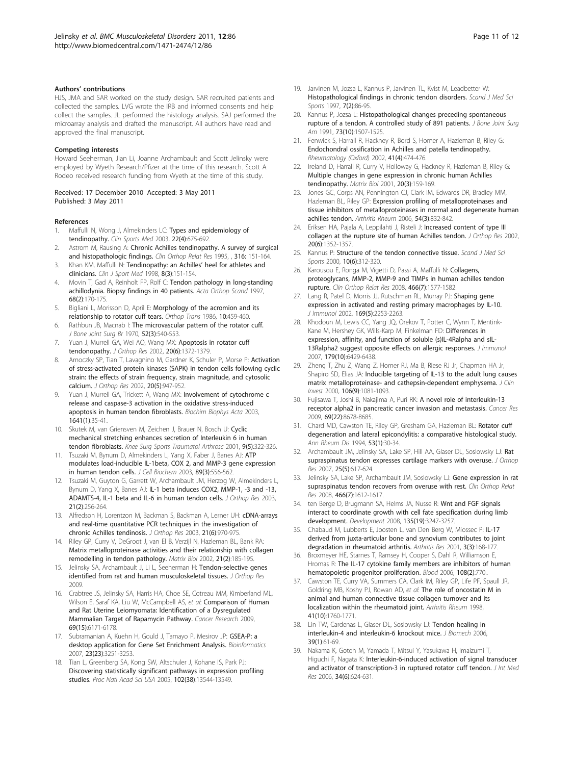#### <span id="page-10-0"></span>Authors' contributions

HJS, JMA and SAR worked on the study design. SAR recruited patients and collected the samples. LVG wrote the IRB and informed consents and help collect the samples. JL performed the histology analysis. SAJ performed the microarray analysis and drafted the manuscript. All authors have read and approved the final manuscript.

#### Competing interests

Howard Seeherman, Jian Li, Joanne Archambault and Scott Jelinsky were employed by Wyeth Research/Pfizer at the time of this research. Scott A Rodeo received research funding from Wyeth at the time of this study.

Received: 17 December 2010 Accepted: 3 May 2011 Published: 3 May 2011

#### References

- 1. Maffulli N, Wong J, Almekinders LC: [Types and epidemiology of](http://www.ncbi.nlm.nih.gov/pubmed/14560540?dopt=Abstract) [tendinopathy.](http://www.ncbi.nlm.nih.gov/pubmed/14560540?dopt=Abstract) Clin Sports Med 2003, 22(4):675-692.
- Astrom M, Rausing A: Chronic Achilles tendinopathy. A survey of surgical and histopathologic findings. Clin Orthop Relat Res 1995, , 316: 151-164.
- Khan KM, Maffulli N: [Tendinopathy: an Achilles](http://www.ncbi.nlm.nih.gov/pubmed/9762473?dopt=Abstract)' heel for athletes and [clinicians.](http://www.ncbi.nlm.nih.gov/pubmed/9762473?dopt=Abstract) Clin J Sport Med 1998, 8(3):151-154.
- 4. Movin T, Gad A, Reinholt FP, Rolf C: [Tendon pathology in long-standing](http://www.ncbi.nlm.nih.gov/pubmed/9174456?dopt=Abstract) [achillodynia. Biopsy findings in 40 patients.](http://www.ncbi.nlm.nih.gov/pubmed/9174456?dopt=Abstract) Acta Orthop Scand 1997, 68(2):170-175.
- 5. Bigliani L, Morisson D, April E: Morphology of the acromion and its relationship to rotator cuff tears. Orthop Trans 1986, 10:459-460.
- 6. Rathbun JB, Macnab I: [The microvascular pattern of the rotator cuff.](http://www.ncbi.nlm.nih.gov/pubmed/5455089?dopt=Abstract) J Bone Joint Surg Br 1970, 52(3):540-553.
- 7. Yuan J, Murrell GA, Wei AQ, Wang MX: [Apoptosis in rotator cuff](http://www.ncbi.nlm.nih.gov/pubmed/12472255?dopt=Abstract) [tendonopathy.](http://www.ncbi.nlm.nih.gov/pubmed/12472255?dopt=Abstract) J Orthop Res 2002, 20(6):1372-1379.
- 8. Arnoczky SP, Tian T, Lavagnino M, Gardner K, Schuler P, Morse P: [Activation](http://www.ncbi.nlm.nih.gov/pubmed/12382958?dopt=Abstract) [of stress-activated protein kinases \(SAPK\) in tendon cells following cyclic](http://www.ncbi.nlm.nih.gov/pubmed/12382958?dopt=Abstract) [strain: the effects of strain frequency, strain magnitude, and cytosolic](http://www.ncbi.nlm.nih.gov/pubmed/12382958?dopt=Abstract) [calcium.](http://www.ncbi.nlm.nih.gov/pubmed/12382958?dopt=Abstract) J Orthop Res 2002, 20(5):947-952.
- Yuan J, Murrell GA, Trickett A, Wang MX: [Involvement of cytochrome c](http://www.ncbi.nlm.nih.gov/pubmed/12788227?dopt=Abstract) [release and caspase-3 activation in the oxidative stress-induced](http://www.ncbi.nlm.nih.gov/pubmed/12788227?dopt=Abstract) [apoptosis in human tendon fibroblasts.](http://www.ncbi.nlm.nih.gov/pubmed/12788227?dopt=Abstract) Biochim Biophys Acta 2003, 1641(1):35-41.
- 10. Skutek M, van Griensven M, Zeichen J, Brauer N, Bosch U: [Cyclic](http://www.ncbi.nlm.nih.gov/pubmed/11685366?dopt=Abstract) [mechanical stretching enhances secretion of Interleukin 6 in human](http://www.ncbi.nlm.nih.gov/pubmed/11685366?dopt=Abstract) [tendon fibroblasts.](http://www.ncbi.nlm.nih.gov/pubmed/11685366?dopt=Abstract) Knee Surg Sports Traumatol Arthrosc 2001, 9(5):322-326.
- 11. Tsuzaki M, Bynum D, Almekinders L, Yang X, Faber J, Banes AJ: [ATP](http://www.ncbi.nlm.nih.gov/pubmed/12761889?dopt=Abstract) [modulates load-inducible IL-1beta, COX 2, and MMP-3 gene expression](http://www.ncbi.nlm.nih.gov/pubmed/12761889?dopt=Abstract) [in human tendon cells.](http://www.ncbi.nlm.nih.gov/pubmed/12761889?dopt=Abstract) J Cell Biochem 2003, 89(3):556-562.
- 12. Tsuzaki M, Guyton G, Garrett W, Archambault JM, Herzog W, Almekinders L, Bynum D, Yang X, Banes AJ: [IL-1 beta induces COX2, MMP-1, -3 and -13,](http://www.ncbi.nlm.nih.gov/pubmed/12568957?dopt=Abstract) [ADAMTS-4, IL-1 beta and IL-6 in human tendon cells.](http://www.ncbi.nlm.nih.gov/pubmed/12568957?dopt=Abstract) J Orthop Res 2003, 21(2):256-264.
- 13. Alfredson H, Lorentzon M, Backman S, Backman A, Lerner UH: [cDNA-arrays](http://www.ncbi.nlm.nih.gov/pubmed/14554207?dopt=Abstract) [and real-time quantitative PCR techniques in the investigation of](http://www.ncbi.nlm.nih.gov/pubmed/14554207?dopt=Abstract) [chronic Achilles tendinosis.](http://www.ncbi.nlm.nih.gov/pubmed/14554207?dopt=Abstract) J Orthop Res 2003, 21(6):970-975.
- 14. Riley GP, Curry V, DeGroot J, van El B, Verzijl N, Hazleman BL, Bank RA: [Matrix metalloproteinase activities and their relationship with collagen](http://www.ncbi.nlm.nih.gov/pubmed/11852234?dopt=Abstract) [remodelling in tendon pathology.](http://www.ncbi.nlm.nih.gov/pubmed/11852234?dopt=Abstract) Matrix Biol 2002, 21(2):185-195.
- 15. Jelinsky SA, Archambault J, Li L, Seeherman H: Tendon-selective genes identified from rat and human musculoskeletal tissues. J Orthop Res 2009.
- 16. Crabtree JS, Jelinsky SA, Harris HA, Choe SE, Cotreau MM, Kimberland ML, Wilson E, Saraf KA, Liu W, McCampbell AS, et al: [Comparison of Human](http://www.ncbi.nlm.nih.gov/pubmed/19622772?dopt=Abstract) [and Rat Uterine Leiomyomata: Identification of a Dysregulated](http://www.ncbi.nlm.nih.gov/pubmed/19622772?dopt=Abstract) [Mammalian Target of Rapamycin Pathway.](http://www.ncbi.nlm.nih.gov/pubmed/19622772?dopt=Abstract) Cancer Research 2009, 69(15):6171-6178.
- 17. Subramanian A, Kuehn H, Gould J, Tamayo P, Mesirov JP: [GSEA-P: a](http://www.ncbi.nlm.nih.gov/pubmed/17644558?dopt=Abstract) [desktop application for Gene Set Enrichment Analysis.](http://www.ncbi.nlm.nih.gov/pubmed/17644558?dopt=Abstract) Bioinformatics 2007, 23(23):3251-3253.
- 18. Tian L, Greenberg SA, Kong SW, Altschuler J, Kohane IS, Park PJ: [Discovering statistically significant pathways in expression profiling](http://www.ncbi.nlm.nih.gov/pubmed/16174746?dopt=Abstract) [studies.](http://www.ncbi.nlm.nih.gov/pubmed/16174746?dopt=Abstract) Proc Natl Acad Sci USA 2005, 102(38):13544-13549.
- 19. Jarvinen M, Jozsa L, Kannus P, Jarvinen TL, Kvist M, Leadbetter W: [Histopathological findings in chronic tendon disorders.](http://www.ncbi.nlm.nih.gov/pubmed/9211609?dopt=Abstract) Scand J Med Sci Sports 1997, 7(2):86-95.
- 20. Kannus P, Jozsa L: [Histopathological changes preceding spontaneous](http://www.ncbi.nlm.nih.gov/pubmed/1748700?dopt=Abstract) [rupture of a tendon. A controlled study of 891 patients.](http://www.ncbi.nlm.nih.gov/pubmed/1748700?dopt=Abstract) J Bone Joint Surg Am 1991, 73(10):1507-1525.
- 21. Fenwick S, Harrall R, Hackney R, Bord S, Horner A, Hazleman B, Riley G: Endochondral ossification in Achilles and patella tendinopathy. Rheumatology (Oxford) 2002, 41(4):474-476.
- 22. Ireland D, Harrall R, Curry V, Holloway G, Hackney R, Hazleman B, Riley G: [Multiple changes in gene expression in chronic human Achilles](http://www.ncbi.nlm.nih.gov/pubmed/11420148?dopt=Abstract) [tendinopathy.](http://www.ncbi.nlm.nih.gov/pubmed/11420148?dopt=Abstract) Matrix Biol 2001, 20(3):159-169.
- 23. Jones GC, Corps AN, Pennington CJ, Clark IM, Edwards DR, Bradley MM, Hazleman BL, Riley GP: [Expression profiling of metalloproteinases and](http://www.ncbi.nlm.nih.gov/pubmed/16508964?dopt=Abstract) [tissue inhibitors of metalloproteinases in normal and degenerate human](http://www.ncbi.nlm.nih.gov/pubmed/16508964?dopt=Abstract) [achilles tendon.](http://www.ncbi.nlm.nih.gov/pubmed/16508964?dopt=Abstract) Arthritis Rheum 2006, 54(3):832-842.
- 24. Eriksen HA, Pajala A, Leppilahti J, Risteli J: [Increased content of type III](http://www.ncbi.nlm.nih.gov/pubmed/12472252?dopt=Abstract) [collagen at the rupture site of human Achilles tendon.](http://www.ncbi.nlm.nih.gov/pubmed/12472252?dopt=Abstract) J Orthop Res 2002, 20(6):1352-1357.
- 25. Kannus P: [Structure of the tendon connective tissue.](http://www.ncbi.nlm.nih.gov/pubmed/11085557?dopt=Abstract) Scand J Med Sci Sports 2000, 10(6):312-320.
- 26. Karousou E, Ronga M, Vigetti D, Passi A, Maffulli N: [Collagens,](http://www.ncbi.nlm.nih.gov/pubmed/18425559?dopt=Abstract) [proteoglycans, MMP-2, MMP-9 and TIMPs in human achilles tendon](http://www.ncbi.nlm.nih.gov/pubmed/18425559?dopt=Abstract) [rupture.](http://www.ncbi.nlm.nih.gov/pubmed/18425559?dopt=Abstract) Clin Orthop Relat Res 2008, 466(7):1577-1582.
- 27. Lang R, Patel D, Morris JJ, Rutschman RL, Murray PJ: [Shaping gene](http://www.ncbi.nlm.nih.gov/pubmed/12193690?dopt=Abstract) [expression in activated and resting primary macrophages by IL-10.](http://www.ncbi.nlm.nih.gov/pubmed/12193690?dopt=Abstract) J Immunol 2002, 169(5):2253-2263.
- 28. Khodoun M, Lewis CC, Yang JQ, Orekov T, Potter C, Wynn T, Mentink-Kane M, Hershey GK, Wills-Karp M, Finkelman FD: [Differences in](http://www.ncbi.nlm.nih.gov/pubmed/17982031?dopt=Abstract) [expression, affinity, and function of soluble \(s\)IL-4Ralpha and sIL-](http://www.ncbi.nlm.nih.gov/pubmed/17982031?dopt=Abstract)[13Ralpha2 suggest opposite effects on allergic responses.](http://www.ncbi.nlm.nih.gov/pubmed/17982031?dopt=Abstract) J Immunol 2007, 179(10):6429-6438.
- 29. Zheng T, Zhu Z, Wang Z, Homer RJ, Ma B, Riese RJ Jr, Chapman HA Jr, Shapiro SD, Elias JA: [Inducible targeting of IL-13 to the adult lung causes](http://www.ncbi.nlm.nih.gov/pubmed/11067861?dopt=Abstract) [matrix metalloproteinase- and cathepsin-dependent emphysema.](http://www.ncbi.nlm.nih.gov/pubmed/11067861?dopt=Abstract) J Clin Invest 2000, 106(9):1081-1093.
- 30. Fujisawa T, Joshi B, Nakajima A, Puri RK: [A novel role of interleukin-13](http://www.ncbi.nlm.nih.gov/pubmed/19887609?dopt=Abstract) [receptor alpha2 in pancreatic cancer invasion and metastasis.](http://www.ncbi.nlm.nih.gov/pubmed/19887609?dopt=Abstract) Cancer Res 2009, 69(22):8678-8685.
- 31. Chard MD, Cawston TE, Riley GP, Gresham GA, Hazleman BL: [Rotator cuff](http://www.ncbi.nlm.nih.gov/pubmed/8311552?dopt=Abstract) [degeneration and lateral epicondylitis: a comparative histological study.](http://www.ncbi.nlm.nih.gov/pubmed/8311552?dopt=Abstract) Ann Rheum Dis 1994, 53(1):30-34.
- 32. Archambault JM, Jelinsky SA, Lake SP, Hill AA, Glaser DL, Soslowsky LJ: [Rat](http://www.ncbi.nlm.nih.gov/pubmed/17318892?dopt=Abstract) [supraspinatus tendon expresses cartilage markers with overuse.](http://www.ncbi.nlm.nih.gov/pubmed/17318892?dopt=Abstract) J Orthop Res 2007, 25(5):617-624.
- 33. Jelinsky SA, Lake SP, Archambault JM, Soslowsky LJ: [Gene expression in rat](http://www.ncbi.nlm.nih.gov/pubmed/18459028?dopt=Abstract) [supraspinatus tendon recovers from overuse with rest.](http://www.ncbi.nlm.nih.gov/pubmed/18459028?dopt=Abstract) Clin Orthop Relat Res 2008, 466(7):1612-1617.
- 34. ten Berge D, Brugmann SA, Helms JA, Nusse R: [Wnt and FGF signals](http://www.ncbi.nlm.nih.gov/pubmed/18776145?dopt=Abstract) [interact to coordinate growth with cell fate specification during limb](http://www.ncbi.nlm.nih.gov/pubmed/18776145?dopt=Abstract) [development.](http://www.ncbi.nlm.nih.gov/pubmed/18776145?dopt=Abstract) Development 2008, 135(19):3247-3257.
- 35. Chabaud M, Lubberts E, Joosten L, van Den Berg W, Miossec P: [IL-17](http://www.ncbi.nlm.nih.gov/pubmed/11299057?dopt=Abstract) [derived from juxta-articular bone and synovium contributes to joint](http://www.ncbi.nlm.nih.gov/pubmed/11299057?dopt=Abstract) [degradation in rheumatoid arthritis.](http://www.ncbi.nlm.nih.gov/pubmed/11299057?dopt=Abstract) Arthritis Res 2001, 3(3):168-177.
- 36. Broxmeyer HE, Starnes T, Ramsey H, Cooper S, Dahl R, Williamson E, Hromas R: [The IL-17 cytokine family members are inhibitors of human](http://www.ncbi.nlm.nih.gov/pubmed/16822904?dopt=Abstract) [hematopoietic progenitor proliferation.](http://www.ncbi.nlm.nih.gov/pubmed/16822904?dopt=Abstract) Blood 2006, 108(2):770..
- 37. Cawston TE, Curry VA, Summers CA, Clark IM, Riley GP, Life PF, Spaull JR, Goldring MB, Koshy PJ, Rowan AD, et al: [The role of oncostatin M in](http://www.ncbi.nlm.nih.gov/pubmed/9778217?dopt=Abstract) [animal and human connective tissue collagen turnover and its](http://www.ncbi.nlm.nih.gov/pubmed/9778217?dopt=Abstract) [localization within the rheumatoid joint.](http://www.ncbi.nlm.nih.gov/pubmed/9778217?dopt=Abstract) Arthritis Rheum 1998, 41(10):1760-1771.
- 38. Lin TW, Cardenas L, Glaser DL, Soslowsky LJ: [Tendon healing in](http://www.ncbi.nlm.nih.gov/pubmed/16271588?dopt=Abstract) [interleukin-4 and interleukin-6 knockout mice.](http://www.ncbi.nlm.nih.gov/pubmed/16271588?dopt=Abstract) J Biomech 2006, 39(1):61-69.
- 39. Nakama K, Gotoh M, Yamada T, Mitsui Y, Yasukawa H, Imaizumi T, Higuchi F, Nagata K: [Interleukin-6-induced activation of signal transducer](http://www.ncbi.nlm.nih.gov/pubmed/17294994?dopt=Abstract) [and activator of transcription-3 in ruptured rotator cuff tendon.](http://www.ncbi.nlm.nih.gov/pubmed/17294994?dopt=Abstract) J Int Med Res 2006, 34(6):624-631.